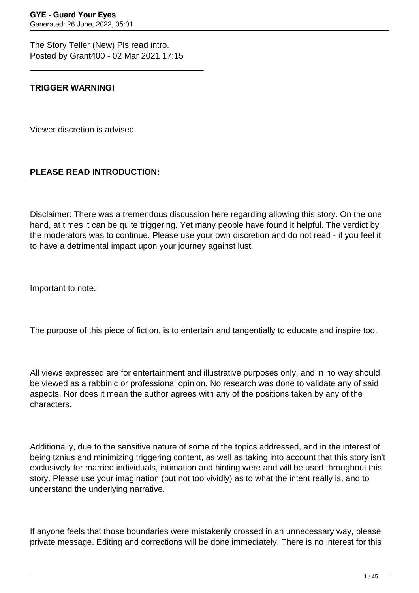The Story Teller (New) Pls read intro. Posted by Grant400 - 02 Mar 2021 17:15

\_\_\_\_\_\_\_\_\_\_\_\_\_\_\_\_\_\_\_\_\_\_\_\_\_\_\_\_\_\_\_\_\_\_\_\_\_

## **TRIGGER WARNING!**

Viewer discretion is advised.

## **PLEASE READ INTRODUCTION:**

Disclaimer: There was a tremendous discussion here regarding allowing this story. On the one hand, at times it can be quite triggering. Yet many people have found it helpful. The verdict by the moderators was to continue. Please use your own discretion and do not read - if you feel it to have a detrimental impact upon your journey against lust.

Important to note:

The purpose of this piece of fiction, is to entertain and tangentially to educate and inspire too.

All views expressed are for entertainment and illustrative purposes only, and in no way should be viewed as a rabbinic or professional opinion. No research was done to validate any of said aspects. Nor does it mean the author agrees with any of the positions taken by any of the characters.

Additionally, due to the sensitive nature of some of the topics addressed, and in the interest of being tznius and minimizing triggering content, as well as taking into account that this story isn't exclusively for married individuals, intimation and hinting were and will be used throughout this story. Please use your imagination (but not too vividly) as to what the intent really is, and to understand the underlying narrative.

If anyone feels that those boundaries were mistakenly crossed in an unnecessary way, please private message. Editing and corrections will be done immediately. There is no interest for this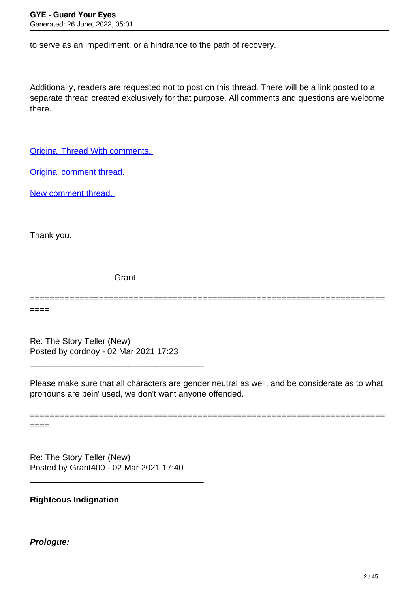to serve as an impediment, or a hindrance to the path of recovery.

Additionally, readers are requested not to post on this thread. There will be a link posted to a separate thread created exclusively for that purpose. All comments and questions are welcome there.

[Original Thread With comments.](https://guardyoureyes.com/forum/23-Just-Having-Fun/358473-The-Story-Teller-%28Old%29) 

[Original comment thread.](https://guardyoureyes.com/forum/17-Balei-Battims-Forum/361391-Discussions-from-the-story-tellers)

[New comment thread.](https://guardyoureyes.com/forum/23-Just-Having-Fun/364592-Comment-Thread-for-The-Story-Teller-%28New%29#364592) 

Thank you.

**Grant** 

====

Re: The Story Teller (New) Posted by cordnoy - 02 Mar 2021 17:23

\_\_\_\_\_\_\_\_\_\_\_\_\_\_\_\_\_\_\_\_\_\_\_\_\_\_\_\_\_\_\_\_\_\_\_\_\_

Please make sure that all characters are gender neutral as well, and be considerate as to what pronouns are bein' used, we don't want anyone offended.

========================================================================

======================================================================== ====

Re: The Story Teller (New) Posted by Grant400 - 02 Mar 2021 17:40

\_\_\_\_\_\_\_\_\_\_\_\_\_\_\_\_\_\_\_\_\_\_\_\_\_\_\_\_\_\_\_\_\_\_\_\_\_

#### **Righteous Indignation**

#### **Prologue:**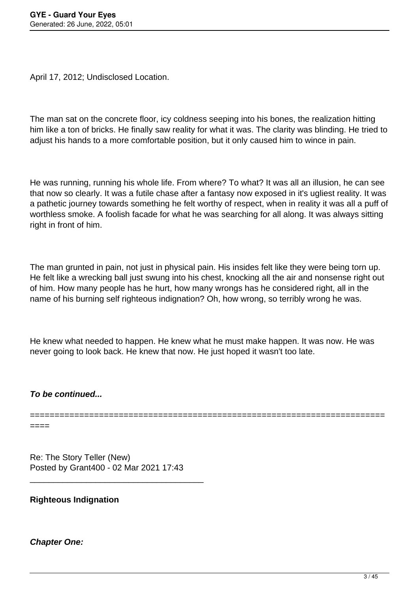April 17, 2012; Undisclosed Location.

The man sat on the concrete floor, icy coldness seeping into his bones, the realization hitting him like a ton of bricks. He finally saw reality for what it was. The clarity was blinding. He tried to adjust his hands to a more comfortable position, but it only caused him to wince in pain.

He was running, running his whole life. From where? To what? It was all an illusion, he can see that now so clearly. It was a futile chase after a fantasy now exposed in it's ugliest reality. It was a pathetic journey towards something he felt worthy of respect, when in reality it was all a puff of worthless smoke. A foolish facade for what he was searching for all along. It was always sitting right in front of him.

The man grunted in pain, not just in physical pain. His insides felt like they were being torn up. He felt like a wrecking ball just swung into his chest, knocking all the air and nonsense right out of him. How many people has he hurt, how many wrongs has he considered right, all in the name of his burning self righteous indignation? Oh, how wrong, so terribly wrong he was.

He knew what needed to happen. He knew what he must make happen. It was now. He was never going to look back. He knew that now. He just hoped it wasn't too late.

**To be continued...**

========================================================================

====

Re: The Story Teller (New) Posted by Grant400 - 02 Mar 2021 17:43

\_\_\_\_\_\_\_\_\_\_\_\_\_\_\_\_\_\_\_\_\_\_\_\_\_\_\_\_\_\_\_\_\_\_\_\_\_

**Righteous Indignation**

**Chapter One:**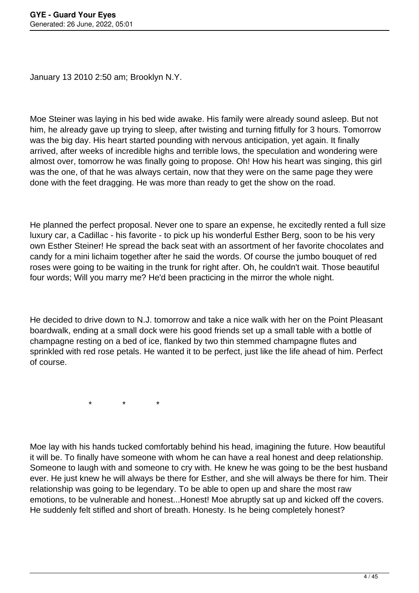January 13 2010 2:50 am; Brooklyn N.Y.

Moe Steiner was laying in his bed wide awake. His family were already sound asleep. But not him, he already gave up trying to sleep, after twisting and turning fitfully for 3 hours. Tomorrow was the big day. His heart started pounding with nervous anticipation, yet again. It finally arrived, after weeks of incredible highs and terrible lows, the speculation and wondering were almost over, tomorrow he was finally going to propose. Oh! How his heart was singing, this girl was the one, of that he was always certain, now that they were on the same page they were done with the feet dragging. He was more than ready to get the show on the road.

He planned the perfect proposal. Never one to spare an expense, he excitedly rented a full size luxury car, a Cadillac - his favorite - to pick up his wonderful Esther Berg, soon to be his very own Esther Steiner! He spread the back seat with an assortment of her favorite chocolates and candy for a mini lichaim together after he said the words. Of course the jumbo bouquet of red roses were going to be waiting in the trunk for right after. Oh, he couldn't wait. Those beautiful four words; Will you marry me? He'd been practicing in the mirror the whole night.

He decided to drive down to N.J. tomorrow and take a nice walk with her on the Point Pleasant boardwalk, ending at a small dock were his good friends set up a small table with a bottle of champagne resting on a bed of ice, flanked by two thin stemmed champagne flutes and sprinkled with red rose petals. He wanted it to be perfect, just like the life ahead of him. Perfect of course.

 $\star$   $\star$   $\star$ 

Moe lay with his hands tucked comfortably behind his head, imagining the future. How beautiful it will be. To finally have someone with whom he can have a real honest and deep relationship. Someone to laugh with and someone to cry with. He knew he was going to be the best husband ever. He just knew he will always be there for Esther, and she will always be there for him. Their relationship was going to be legendary. To be able to open up and share the most raw emotions, to be vulnerable and honest...Honest! Moe abruptly sat up and kicked off the covers. He suddenly felt stifled and short of breath. Honesty. Is he being completely honest?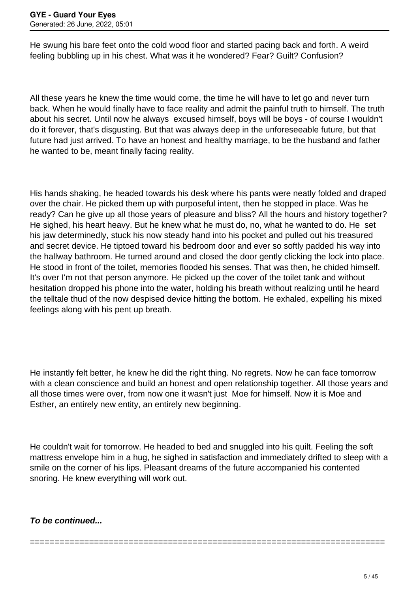He swung his bare feet onto the cold wood floor and started pacing back and forth. A weird feeling bubbling up in his chest. What was it he wondered? Fear? Guilt? Confusion?

All these years he knew the time would come, the time he will have to let go and never turn back. When he would finally have to face reality and admit the painful truth to himself. The truth about his secret. Until now he always excused himself, boys will be boys - of course I wouldn't do it forever, that's disgusting. But that was always deep in the unforeseeable future, but that future had just arrived. To have an honest and healthy marriage, to be the husband and father he wanted to be, meant finally facing reality.

His hands shaking, he headed towards his desk where his pants were neatly folded and draped over the chair. He picked them up with purposeful intent, then he stopped in place. Was he ready? Can he give up all those years of pleasure and bliss? All the hours and history together? He sighed, his heart heavy. But he knew what he must do, no, what he wanted to do. He set his jaw determinedly, stuck his now steady hand into his pocket and pulled out his treasured and secret device. He tiptoed toward his bedroom door and ever so softly padded his way into the hallway bathroom. He turned around and closed the door gently clicking the lock into place. He stood in front of the toilet, memories flooded his senses. That was then, he chided himself. It's over I'm not that person anymore. He picked up the cover of the toilet tank and without hesitation dropped his phone into the water, holding his breath without realizing until he heard the telltale thud of the now despised device hitting the bottom. He exhaled, expelling his mixed feelings along with his pent up breath.

He instantly felt better, he knew he did the right thing. No regrets. Now he can face tomorrow with a clean conscience and build an honest and open relationship together. All those years and all those times were over, from now one it wasn't just Moe for himself. Now it is Moe and Esther, an entirely new entity, an entirely new beginning.

He couldn't wait for tomorrow. He headed to bed and snuggled into his quilt. Feeling the soft mattress envelope him in a hug, he sighed in satisfaction and immediately drifted to sleep with a smile on the corner of his lips. Pleasant dreams of the future accompanied his contented snoring. He knew everything will work out.

========================================================================

# **To be continued...**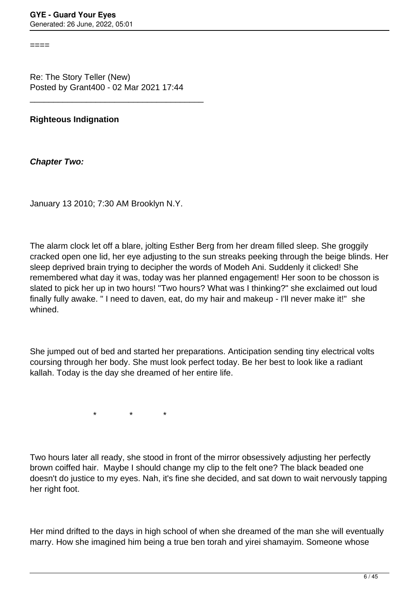====

Re: The Story Teller (New) Posted by Grant400 - 02 Mar 2021 17:44

\_\_\_\_\_\_\_\_\_\_\_\_\_\_\_\_\_\_\_\_\_\_\_\_\_\_\_\_\_\_\_\_\_\_\_\_\_

## **Righteous Indignation**

**Chapter Two:**

January 13 2010; 7:30 AM Brooklyn N.Y.

The alarm clock let off a blare, jolting Esther Berg from her dream filled sleep. She groggily cracked open one lid, her eye adjusting to the sun streaks peeking through the beige blinds. Her sleep deprived brain trying to decipher the words of Modeh Ani. Suddenly it clicked! She remembered what day it was, today was her planned engagement! Her soon to be chosson is slated to pick her up in two hours! "Two hours? What was I thinking?" she exclaimed out loud finally fully awake. " I need to daven, eat, do my hair and makeup - I'll never make it!" she whined.

She jumped out of bed and started her preparations. Anticipation sending tiny electrical volts coursing through her body. She must look perfect today. Be her best to look like a radiant kallah. Today is the day she dreamed of her entire life.

 $\star$  \* \* \*

Two hours later all ready, she stood in front of the mirror obsessively adjusting her perfectly brown coiffed hair. Maybe I should change my clip to the felt one? The black beaded one doesn't do justice to my eyes. Nah, it's fine she decided, and sat down to wait nervously tapping her right foot.

Her mind drifted to the days in high school of when she dreamed of the man she will eventually marry. How she imagined him being a true ben torah and yirei shamayim. Someone whose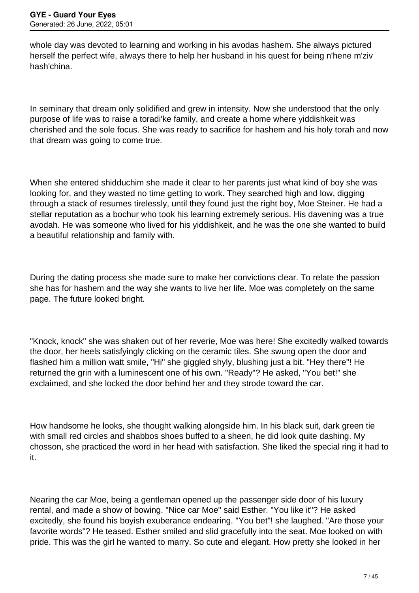whole day was devoted to learning and working in his avodas hashem. She always pictured herself the perfect wife, always there to help her husband in his quest for being n'hene m'ziv hash'china.

In seminary that dream only solidified and grew in intensity. Now she understood that the only purpose of life was to raise a toradi'ke family, and create a home where yiddishkeit was cherished and the sole focus. She was ready to sacrifice for hashem and his holy torah and now that dream was going to come true.

When she entered shidduchim she made it clear to her parents just what kind of boy she was looking for, and they wasted no time getting to work. They searched high and low, digging through a stack of resumes tirelessly, until they found just the right boy, Moe Steiner. He had a stellar reputation as a bochur who took his learning extremely serious. His davening was a true avodah. He was someone who lived for his yiddishkeit, and he was the one she wanted to build a beautiful relationship and family with.

During the dating process she made sure to make her convictions clear. To relate the passion she has for hashem and the way she wants to live her life. Moe was completely on the same page. The future looked bright.

"Knock, knock" she was shaken out of her reverie, Moe was here! She excitedly walked towards the door, her heels satisfyingly clicking on the ceramic tiles. She swung open the door and flashed him a million watt smile, "Hi" she giggled shyly, blushing just a bit. "Hey there"! He returned the grin with a luminescent one of his own. "Ready"? He asked, "You bet!" she exclaimed, and she locked the door behind her and they strode toward the car.

How handsome he looks, she thought walking alongside him. In his black suit, dark green tie with small red circles and shabbos shoes buffed to a sheen, he did look quite dashing. My chosson, she practiced the word in her head with satisfaction. She liked the special ring it had to it.

Nearing the car Moe, being a gentleman opened up the passenger side door of his luxury rental, and made a show of bowing. "Nice car Moe" said Esther. "You like it"? He asked excitedly, she found his boyish exuberance endearing. "You bet"! she laughed. "Are those your favorite words"? He teased. Esther smiled and slid gracefully into the seat. Moe looked on with pride. This was the girl he wanted to marry. So cute and elegant. How pretty she looked in her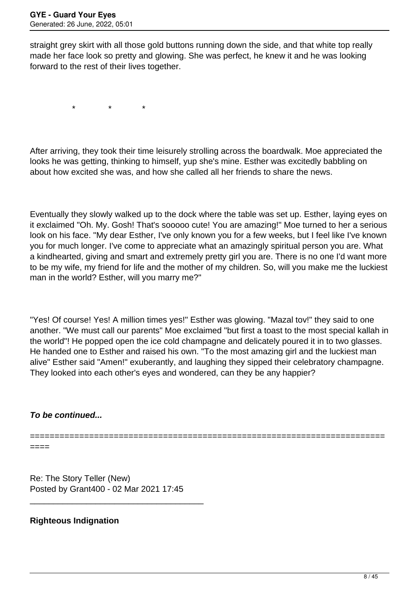straight grey skirt with all those gold buttons running down the side, and that white top really made her face look so pretty and glowing. She was perfect, he knew it and he was looking forward to the rest of their lives together.

 $\star$   $\star$   $\star$ 

After arriving, they took their time leisurely strolling across the boardwalk. Moe appreciated the looks he was getting, thinking to himself, yup she's mine. Esther was excitedly babbling on about how excited she was, and how she called all her friends to share the news.

Eventually they slowly walked up to the dock where the table was set up. Esther, laying eyes on it exclaimed "Oh. My. Gosh! That's sooooo cute! You are amazing!" Moe turned to her a serious look on his face. "My dear Esther, I've only known you for a few weeks, but I feel like I've known you for much longer. I've come to appreciate what an amazingly spiritual person you are. What a kindhearted, giving and smart and extremely pretty girl you are. There is no one I'd want more to be my wife, my friend for life and the mother of my children. So, will you make me the luckiest man in the world? Esther, will you marry me?"

"Yes! Of course! Yes! A million times yes!" Esther was glowing. "Mazal tov!" they said to one another. "We must call our parents" Moe exclaimed "but first a toast to the most special kallah in the world"! He popped open the ice cold champagne and delicately poured it in to two glasses. He handed one to Esther and raised his own. "To the most amazing girl and the luckiest man alive" Esther said "Amen!" exuberantly, and laughing they sipped their celebratory champagne. They looked into each other's eyes and wondered, can they be any happier?

#### **To be continued...**

========================================================================

====

Re: The Story Teller (New) Posted by Grant400 - 02 Mar 2021 17:45

\_\_\_\_\_\_\_\_\_\_\_\_\_\_\_\_\_\_\_\_\_\_\_\_\_\_\_\_\_\_\_\_\_\_\_\_\_

#### **Righteous Indignation**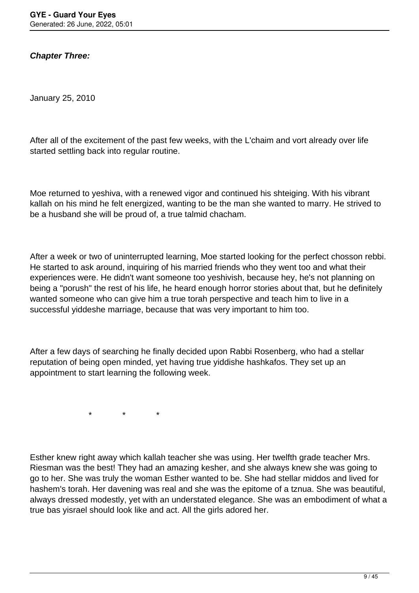**Chapter Three:**

January 25, 2010

After all of the excitement of the past few weeks, with the L'chaim and vort already over life started settling back into regular routine.

Moe returned to yeshiva, with a renewed vigor and continued his shteiging. With his vibrant kallah on his mind he felt energized, wanting to be the man she wanted to marry. He strived to be a husband she will be proud of, a true talmid chacham.

After a week or two of uninterrupted learning, Moe started looking for the perfect chosson rebbi. He started to ask around, inquiring of his married friends who they went too and what their experiences were. He didn't want someone too yeshivish, because hey, he's not planning on being a "porush" the rest of his life, he heard enough horror stories about that, but he definitely wanted someone who can give him a true torah perspective and teach him to live in a successful yiddeshe marriage, because that was very important to him too.

After a few days of searching he finally decided upon Rabbi Rosenberg, who had a stellar reputation of being open minded, yet having true yiddishe hashkafos. They set up an appointment to start learning the following week.

 $\star$   $\star$   $\star$ 

Esther knew right away which kallah teacher she was using. Her twelfth grade teacher Mrs. Riesman was the best! They had an amazing kesher, and she always knew she was going to go to her. She was truly the woman Esther wanted to be. She had stellar middos and lived for hashem's torah. Her davening was real and she was the epitome of a tznua. She was beautiful, always dressed modestly, yet with an understated elegance. She was an embodiment of what a true bas yisrael should look like and act. All the girls adored her.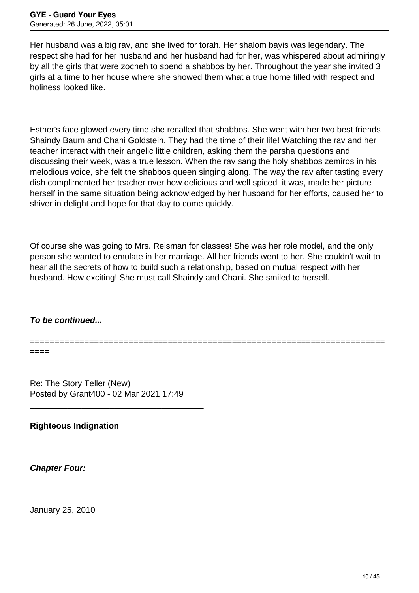Her husband was a big rav, and she lived for torah. Her shalom bayis was legendary. The respect she had for her husband and her husband had for her, was whispered about admiringly by all the girls that were zocheh to spend a shabbos by her. Throughout the year she invited 3 girls at a time to her house where she showed them what a true home filled with respect and holiness looked like.

Esther's face glowed every time she recalled that shabbos. She went with her two best friends Shaindy Baum and Chani Goldstein. They had the time of their life! Watching the rav and her teacher interact with their angelic little children, asking them the parsha questions and discussing their week, was a true lesson. When the rav sang the holy shabbos zemiros in his melodious voice, she felt the shabbos queen singing along. The way the rav after tasting every dish complimented her teacher over how delicious and well spiced it was, made her picture herself in the same situation being acknowledged by her husband for her efforts, caused her to shiver in delight and hope for that day to come quickly.

Of course she was going to Mrs. Reisman for classes! She was her role model, and the only person she wanted to emulate in her marriage. All her friends went to her. She couldn't wait to hear all the secrets of how to build such a relationship, based on mutual respect with her husband. How exciting! She must call Shaindy and Chani. She smiled to herself.

# **To be continued...**

========================================================================

====

Re: The Story Teller (New) Posted by Grant400 - 02 Mar 2021 17:49

\_\_\_\_\_\_\_\_\_\_\_\_\_\_\_\_\_\_\_\_\_\_\_\_\_\_\_\_\_\_\_\_\_\_\_\_\_

**Righteous Indignation**

**Chapter Four:**

January 25, 2010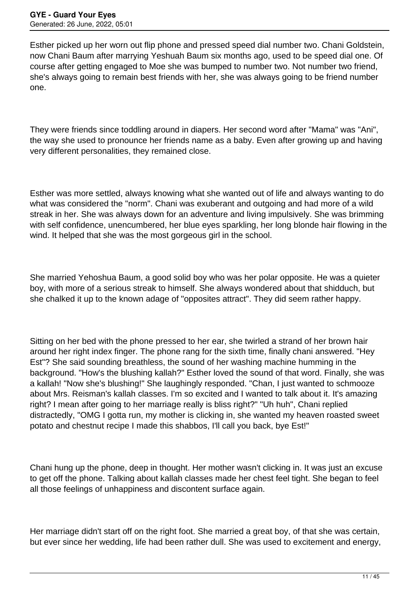Esther picked up her worn out flip phone and pressed speed dial number two. Chani Goldstein, now Chani Baum after marrying Yeshuah Baum six months ago, used to be speed dial one. Of course after getting engaged to Moe she was bumped to number two. Not number two friend, she's always going to remain best friends with her, she was always going to be friend number one.

They were friends since toddling around in diapers. Her second word after "Mama" was "Ani", the way she used to pronounce her friends name as a baby. Even after growing up and having very different personalities, they remained close.

Esther was more settled, always knowing what she wanted out of life and always wanting to do what was considered the "norm". Chani was exuberant and outgoing and had more of a wild streak in her. She was always down for an adventure and living impulsively. She was brimming with self confidence, unencumbered, her blue eyes sparkling, her long blonde hair flowing in the wind. It helped that she was the most gorgeous girl in the school.

She married Yehoshua Baum, a good solid boy who was her polar opposite. He was a quieter boy, with more of a serious streak to himself. She always wondered about that shidduch, but she chalked it up to the known adage of "opposites attract". They did seem rather happy.

Sitting on her bed with the phone pressed to her ear, she twirled a strand of her brown hair around her right index finger. The phone rang for the sixth time, finally chani answered. "Hey Est"? She said sounding breathless, the sound of her washing machine humming in the background. "How's the blushing kallah?" Esther loved the sound of that word. Finally, she was a kallah! "Now she's blushing!" She laughingly responded. "Chan, I just wanted to schmooze about Mrs. Reisman's kallah classes. I'm so excited and I wanted to talk about it. It's amazing right? I mean after going to her marriage really is bliss right?" "Uh huh", Chani replied distractedly, "OMG I gotta run, my mother is clicking in, she wanted my heaven roasted sweet potato and chestnut recipe I made this shabbos, I'll call you back, bye Est!"

Chani hung up the phone, deep in thought. Her mother wasn't clicking in. It was just an excuse to get off the phone. Talking about kallah classes made her chest feel tight. She began to feel all those feelings of unhappiness and discontent surface again.

Her marriage didn't start off on the right foot. She married a great boy, of that she was certain, but ever since her wedding, life had been rather dull. She was used to excitement and energy,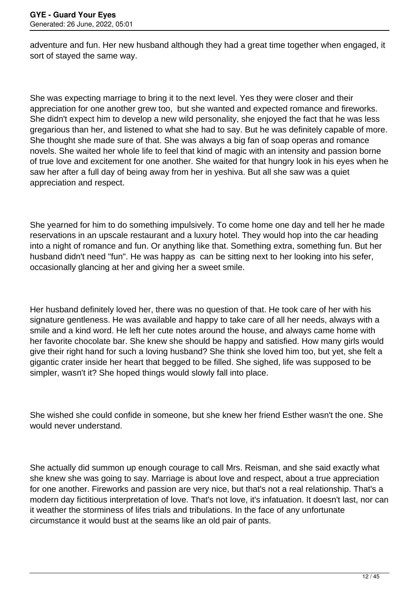adventure and fun. Her new husband although they had a great time together when engaged, it sort of stayed the same way.

She was expecting marriage to bring it to the next level. Yes they were closer and their appreciation for one another grew too, but she wanted and expected romance and fireworks. She didn't expect him to develop a new wild personality, she enjoyed the fact that he was less gregarious than her, and listened to what she had to say. But he was definitely capable of more. She thought she made sure of that. She was always a big fan of soap operas and romance novels. She waited her whole life to feel that kind of magic with an intensity and passion borne of true love and excitement for one another. She waited for that hungry look in his eyes when he saw her after a full day of being away from her in yeshiva. But all she saw was a quiet appreciation and respect.

She yearned for him to do something impulsively. To come home one day and tell her he made reservations in an upscale restaurant and a luxury hotel. They would hop into the car heading into a night of romance and fun. Or anything like that. Something extra, something fun. But her husband didn't need "fun". He was happy as can be sitting next to her looking into his sefer, occasionally glancing at her and giving her a sweet smile.

Her husband definitely loved her, there was no question of that. He took care of her with his signature gentleness. He was available and happy to take care of all her needs, always with a smile and a kind word. He left her cute notes around the house, and always came home with her favorite chocolate bar. She knew she should be happy and satisfied. How many girls would give their right hand for such a loving husband? She think she loved him too, but yet, she felt a gigantic crater inside her heart that begged to be filled. She sighed, life was supposed to be simpler, wasn't it? She hoped things would slowly fall into place.

She wished she could confide in someone, but she knew her friend Esther wasn't the one. She would never understand.

She actually did summon up enough courage to call Mrs. Reisman, and she said exactly what she knew she was going to say. Marriage is about love and respect, about a true appreciation for one another. Fireworks and passion are very nice, but that's not a real relationship. That's a modern day fictitious interpretation of love. That's not love, it's infatuation. It doesn't last, nor can it weather the storminess of lifes trials and tribulations. In the face of any unfortunate circumstance it would bust at the seams like an old pair of pants.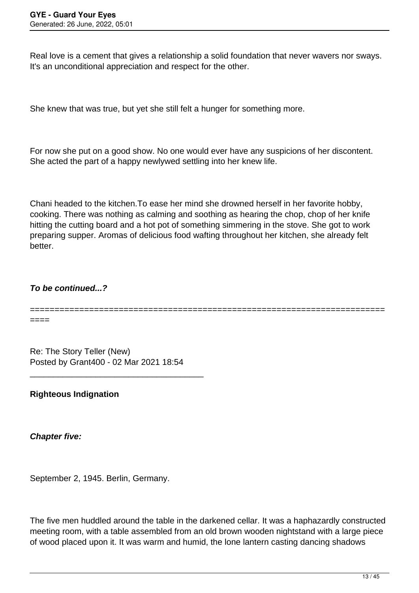Real love is a cement that gives a relationship a solid foundation that never wavers nor sways. It's an unconditional appreciation and respect for the other.

She knew that was true, but yet she still felt a hunger for something more.

For now she put on a good show. No one would ever have any suspicions of her discontent. She acted the part of a happy newlywed settling into her knew life.

Chani headed to the kitchen.To ease her mind she drowned herself in her favorite hobby, cooking. There was nothing as calming and soothing as hearing the chop, chop of her knife hitting the cutting board and a hot pot of something simmering in the stove. She got to work preparing supper. Aromas of delicious food wafting throughout her kitchen, she already felt better.

## **To be continued...?**

========================================================================

====

Re: The Story Teller (New) Posted by Grant400 - 02 Mar 2021 18:54

\_\_\_\_\_\_\_\_\_\_\_\_\_\_\_\_\_\_\_\_\_\_\_\_\_\_\_\_\_\_\_\_\_\_\_\_\_

**Righteous Indignation**

**Chapter five:**

September 2, 1945. Berlin, Germany.

The five men huddled around the table in the darkened cellar. It was a haphazardly constructed meeting room, with a table assembled from an old brown wooden nightstand with a large piece of wood placed upon it. It was warm and humid, the lone lantern casting dancing shadows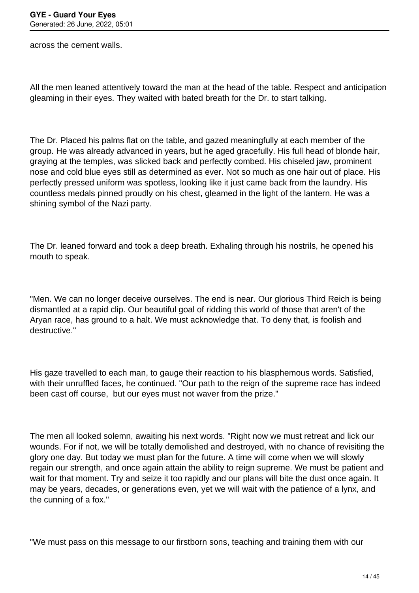across the cement walls.

All the men leaned attentively toward the man at the head of the table. Respect and anticipation gleaming in their eyes. They waited with bated breath for the Dr. to start talking.

The Dr. Placed his palms flat on the table, and gazed meaningfully at each member of the group. He was already advanced in years, but he aged gracefully. His full head of blonde hair, graying at the temples, was slicked back and perfectly combed. His chiseled jaw, prominent nose and cold blue eyes still as determined as ever. Not so much as one hair out of place. His perfectly pressed uniform was spotless, looking like it just came back from the laundry. His countless medals pinned proudly on his chest, gleamed in the light of the lantern. He was a shining symbol of the Nazi party.

The Dr. leaned forward and took a deep breath. Exhaling through his nostrils, he opened his mouth to speak.

"Men. We can no longer deceive ourselves. The end is near. Our glorious Third Reich is being dismantled at a rapid clip. Our beautiful goal of ridding this world of those that aren't of the Aryan race, has ground to a halt. We must acknowledge that. To deny that, is foolish and destructive."

His gaze travelled to each man, to gauge their reaction to his blasphemous words. Satisfied, with their unruffled faces, he continued. "Our path to the reign of the supreme race has indeed been cast off course, but our eyes must not waver from the prize."

The men all looked solemn, awaiting his next words. "Right now we must retreat and lick our wounds. For if not, we will be totally demolished and destroyed, with no chance of revisiting the glory one day. But today we must plan for the future. A time will come when we will slowly regain our strength, and once again attain the ability to reign supreme. We must be patient and wait for that moment. Try and seize it too rapidly and our plans will bite the dust once again. It may be years, decades, or generations even, yet we will wait with the patience of a lynx, and the cunning of a fox."

"We must pass on this message to our firstborn sons, teaching and training them with our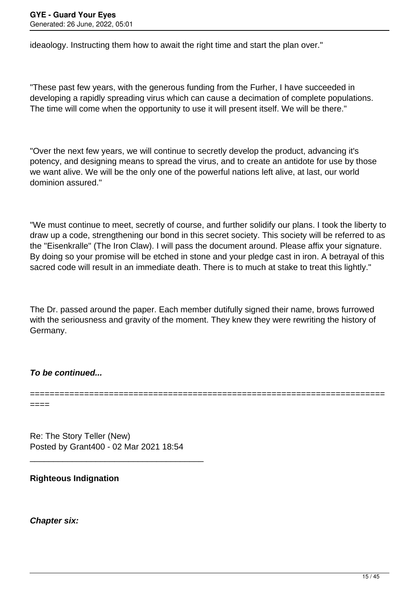ideaology. Instructing them how to await the right time and start the plan over."

"These past few years, with the generous funding from the Furher, I have succeeded in developing a rapidly spreading virus which can cause a decimation of complete populations. The time will come when the opportunity to use it will present itself. We will be there."

"Over the next few years, we will continue to secretly develop the product, advancing it's potency, and designing means to spread the virus, and to create an antidote for use by those we want alive. We will be the only one of the powerful nations left alive, at last, our world dominion assured."

"We must continue to meet, secretly of course, and further solidify our plans. I took the liberty to draw up a code, strengthening our bond in this secret society. This society will be referred to as the "Eisenkralle" (The Iron Claw). I will pass the document around. Please affix your signature. By doing so your promise will be etched in stone and your pledge cast in iron. A betrayal of this sacred code will result in an immediate death. There is to much at stake to treat this lightly."

The Dr. passed around the paper. Each member dutifully signed their name, brows furrowed with the seriousness and gravity of the moment. They knew they were rewriting the history of Germany.

========================================================================

**To be continued...**

====

Re: The Story Teller (New) Posted by Grant400 - 02 Mar 2021 18:54

\_\_\_\_\_\_\_\_\_\_\_\_\_\_\_\_\_\_\_\_\_\_\_\_\_\_\_\_\_\_\_\_\_\_\_\_\_

# **Righteous Indignation**

**Chapter six:**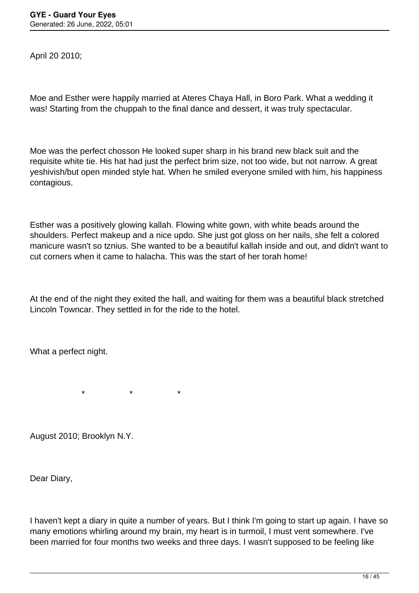April 20 2010;

Moe and Esther were happily married at Ateres Chaya Hall, in Boro Park. What a wedding it was! Starting from the chuppah to the final dance and dessert, it was truly spectacular.

Moe was the perfect chosson He looked super sharp in his brand new black suit and the requisite white tie. His hat had just the perfect brim size, not too wide, but not narrow. A great yeshivish/but open minded style hat. When he smiled everyone smiled with him, his happiness contagious.

Esther was a positively glowing kallah. Flowing white gown, with white beads around the shoulders. Perfect makeup and a nice updo. She just got gloss on her nails, she felt a colored manicure wasn't so tznius. She wanted to be a beautiful kallah inside and out, and didn't want to cut corners when it came to halacha. This was the start of her torah home!

At the end of the night they exited the hall, and waiting for them was a beautiful black stretched Lincoln Towncar. They settled in for the ride to the hotel.

What a perfect night.

 $\star$   $\star$   $\star$ 

August 2010; Brooklyn N.Y.

Dear Diary,

I haven't kept a diary in quite a number of years. But I think I'm going to start up again. I have so many emotions whirling around my brain, my heart is in turmoil, I must vent somewhere. I've been married for four months two weeks and three days. I wasn't supposed to be feeling like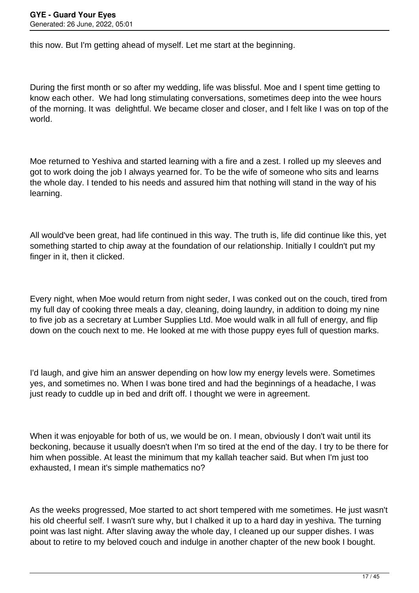this now. But I'm getting ahead of myself. Let me start at the beginning.

During the first month or so after my wedding, life was blissful. Moe and I spent time getting to know each other. We had long stimulating conversations, sometimes deep into the wee hours of the morning. It was delightful. We became closer and closer, and I felt like I was on top of the world.

Moe returned to Yeshiva and started learning with a fire and a zest. I rolled up my sleeves and got to work doing the job I always yearned for. To be the wife of someone who sits and learns the whole day. I tended to his needs and assured him that nothing will stand in the way of his learning.

All would've been great, had life continued in this way. The truth is, life did continue like this, yet something started to chip away at the foundation of our relationship. Initially I couldn't put my finger in it, then it clicked.

Every night, when Moe would return from night seder, I was conked out on the couch, tired from my full day of cooking three meals a day, cleaning, doing laundry, in addition to doing my nine to five job as a secretary at Lumber Supplies Ltd. Moe would walk in all full of energy, and flip down on the couch next to me. He looked at me with those puppy eyes full of question marks.

I'd laugh, and give him an answer depending on how low my energy levels were. Sometimes yes, and sometimes no. When I was bone tired and had the beginnings of a headache, I was just ready to cuddle up in bed and drift off. I thought we were in agreement.

When it was enjoyable for both of us, we would be on. I mean, obviously I don't wait until its beckoning, because it usually doesn't when I'm so tired at the end of the day. I try to be there for him when possible. At least the minimum that my kallah teacher said. But when I'm just too exhausted, I mean it's simple mathematics no?

As the weeks progressed, Moe started to act short tempered with me sometimes. He just wasn't his old cheerful self. I wasn't sure why, but I chalked it up to a hard day in yeshiva. The turning point was last night. After slaving away the whole day, I cleaned up our supper dishes. I was about to retire to my beloved couch and indulge in another chapter of the new book I bought.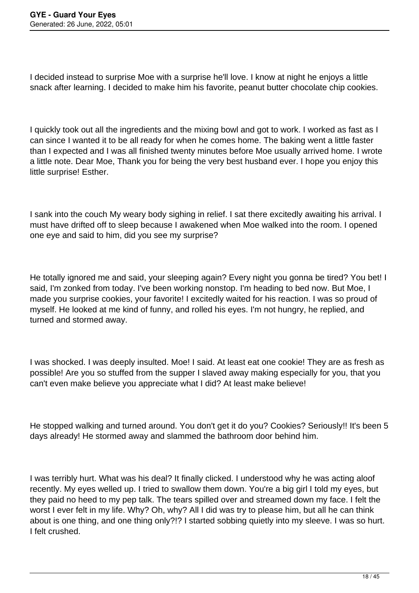I decided instead to surprise Moe with a surprise he'll love. I know at night he enjoys a little snack after learning. I decided to make him his favorite, peanut butter chocolate chip cookies.

I quickly took out all the ingredients and the mixing bowl and got to work. I worked as fast as I can since I wanted it to be all ready for when he comes home. The baking went a little faster than I expected and I was all finished twenty minutes before Moe usually arrived home. I wrote a little note. Dear Moe, Thank you for being the very best husband ever. I hope you enjoy this little surprise! Esther.

I sank into the couch My weary body sighing in relief. I sat there excitedly awaiting his arrival. I must have drifted off to sleep because I awakened when Moe walked into the room. I opened one eye and said to him, did you see my surprise?

He totally ignored me and said, your sleeping again? Every night you gonna be tired? You bet! I said, I'm zonked from today. I've been working nonstop. I'm heading to bed now. But Moe, I made you surprise cookies, your favorite! I excitedly waited for his reaction. I was so proud of myself. He looked at me kind of funny, and rolled his eyes. I'm not hungry, he replied, and turned and stormed away.

I was shocked. I was deeply insulted. Moe! I said. At least eat one cookie! They are as fresh as possible! Are you so stuffed from the supper I slaved away making especially for you, that you can't even make believe you appreciate what I did? At least make believe!

He stopped walking and turned around. You don't get it do you? Cookies? Seriously!! It's been 5 days already! He stormed away and slammed the bathroom door behind him.

I was terribly hurt. What was his deal? It finally clicked. I understood why he was acting aloof recently. My eyes welled up. I tried to swallow them down. You're a big girl I told my eyes, but they paid no heed to my pep talk. The tears spilled over and streamed down my face. I felt the worst I ever felt in my life. Why? Oh, why? All I did was try to please him, but all he can think about is one thing, and one thing only?!? I started sobbing quietly into my sleeve. I was so hurt. I felt crushed.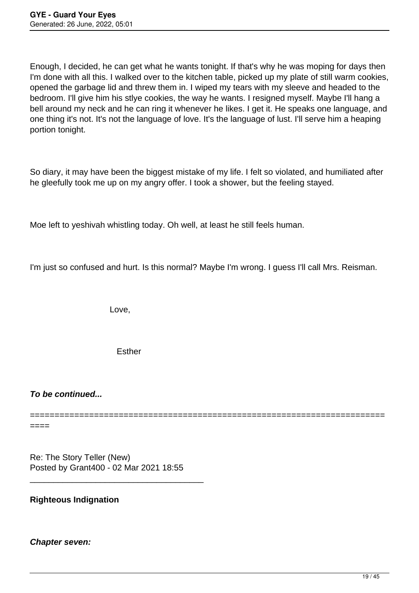Enough, I decided, he can get what he wants tonight. If that's why he was moping for days then I'm done with all this. I walked over to the kitchen table, picked up my plate of still warm cookies, opened the garbage lid and threw them in. I wiped my tears with my sleeve and headed to the bedroom. I'll give him his stlye cookies, the way he wants. I resigned myself. Maybe I'll hang a bell around my neck and he can ring it whenever he likes. I get it. He speaks one language, and one thing it's not. It's not the language of love. It's the language of lust. I'll serve him a heaping portion tonight.

So diary, it may have been the biggest mistake of my life. I felt so violated, and humiliated after he gleefully took me up on my angry offer. I took a shower, but the feeling stayed.

Moe left to yeshivah whistling today. Oh well, at least he still feels human.

I'm just so confused and hurt. Is this normal? Maybe I'm wrong. I guess I'll call Mrs. Reisman.

Love,

Esther

**To be continued...**

 $==$ 

# ========================================================================

Re: The Story Teller (New) Posted by Grant400 - 02 Mar 2021 18:55

\_\_\_\_\_\_\_\_\_\_\_\_\_\_\_\_\_\_\_\_\_\_\_\_\_\_\_\_\_\_\_\_\_\_\_\_\_

# **Righteous Indignation**

#### **Chapter seven:**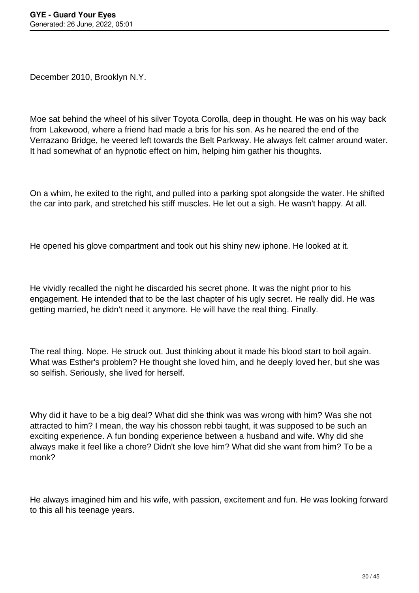December 2010, Brooklyn N.Y.

Moe sat behind the wheel of his silver Toyota Corolla, deep in thought. He was on his way back from Lakewood, where a friend had made a bris for his son. As he neared the end of the Verrazano Bridge, he veered left towards the Belt Parkway. He always felt calmer around water. It had somewhat of an hypnotic effect on him, helping him gather his thoughts.

On a whim, he exited to the right, and pulled into a parking spot alongside the water. He shifted the car into park, and stretched his stiff muscles. He let out a sigh. He wasn't happy. At all.

He opened his glove compartment and took out his shiny new iphone. He looked at it.

He vividly recalled the night he discarded his secret phone. It was the night prior to his engagement. He intended that to be the last chapter of his ugly secret. He really did. He was getting married, he didn't need it anymore. He will have the real thing. Finally.

The real thing. Nope. He struck out. Just thinking about it made his blood start to boil again. What was Esther's problem? He thought she loved him, and he deeply loved her, but she was so selfish. Seriously, she lived for herself.

Why did it have to be a big deal? What did she think was was wrong with him? Was she not attracted to him? I mean, the way his chosson rebbi taught, it was supposed to be such an exciting experience. A fun bonding experience between a husband and wife. Why did she always make it feel like a chore? Didn't she love him? What did she want from him? To be a monk?

He always imagined him and his wife, with passion, excitement and fun. He was looking forward to this all his teenage years.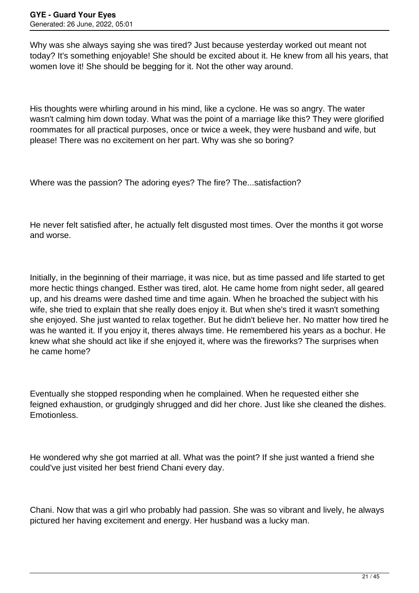Why was she always saying she was tired? Just because yesterday worked out meant not today? It's something enjoyable! She should be excited about it. He knew from all his years, that women love it! She should be begging for it. Not the other way around.

His thoughts were whirling around in his mind, like a cyclone. He was so angry. The water wasn't calming him down today. What was the point of a marriage like this? They were glorified roommates for all practical purposes, once or twice a week, they were husband and wife, but please! There was no excitement on her part. Why was she so boring?

Where was the passion? The adoring eyes? The fire? The...satisfaction?

He never felt satisfied after, he actually felt disgusted most times. Over the months it got worse and worse.

Initially, in the beginning of their marriage, it was nice, but as time passed and life started to get more hectic things changed. Esther was tired, alot. He came home from night seder, all geared up, and his dreams were dashed time and time again. When he broached the subject with his wife, she tried to explain that she really does enjoy it. But when she's tired it wasn't something she enjoyed. She just wanted to relax together. But he didn't believe her. No matter how tired he was he wanted it. If you enjoy it, theres always time. He remembered his years as a bochur. He knew what she should act like if she enjoyed it, where was the fireworks? The surprises when he came home?

Eventually she stopped responding when he complained. When he requested either she feigned exhaustion, or grudgingly shrugged and did her chore. Just like she cleaned the dishes. Emotionless.

He wondered why she got married at all. What was the point? If she just wanted a friend she could've just visited her best friend Chani every day.

Chani. Now that was a girl who probably had passion. She was so vibrant and lively, he always pictured her having excitement and energy. Her husband was a lucky man.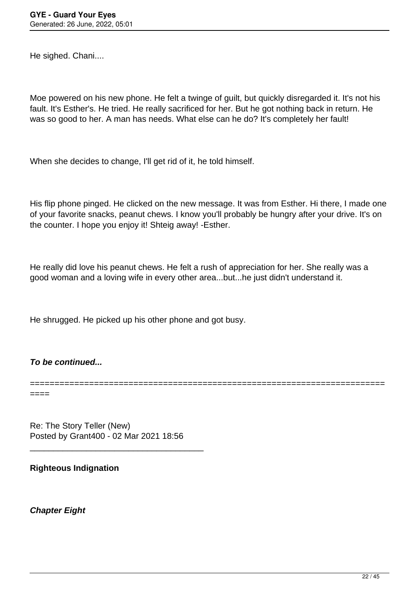He sighed. Chani....

Moe powered on his new phone. He felt a twinge of guilt, but quickly disregarded it. It's not his fault. It's Esther's. He tried. He really sacrificed for her. But he got nothing back in return. He was so good to her. A man has needs. What else can he do? It's completely her fault!

When she decides to change, I'll get rid of it, he told himself.

His flip phone pinged. He clicked on the new message. It was from Esther. Hi there, I made one of your favorite snacks, peanut chews. I know you'll probably be hungry after your drive. It's on the counter. I hope you enjoy it! Shteig away! -Esther.

He really did love his peanut chews. He felt a rush of appreciation for her. She really was a good woman and a loving wife in every other area...but...he just didn't understand it.

========================================================================

He shrugged. He picked up his other phone and got busy.

#### **To be continued...**

====

Re: The Story Teller (New) Posted by Grant400 - 02 Mar 2021 18:56

\_\_\_\_\_\_\_\_\_\_\_\_\_\_\_\_\_\_\_\_\_\_\_\_\_\_\_\_\_\_\_\_\_\_\_\_\_

**Righteous Indignation** 

**Chapter Eight**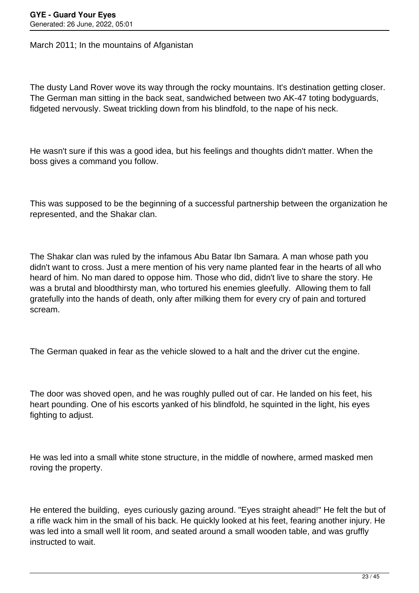March 2011; In the mountains of Afganistan

The dusty Land Rover wove its way through the rocky mountains. It's destination getting closer. The German man sitting in the back seat, sandwiched between two AK-47 toting bodyguards, fidgeted nervously. Sweat trickling down from his blindfold, to the nape of his neck.

He wasn't sure if this was a good idea, but his feelings and thoughts didn't matter. When the boss gives a command you follow.

This was supposed to be the beginning of a successful partnership between the organization he represented, and the Shakar clan.

The Shakar clan was ruled by the infamous Abu Batar Ibn Samara. A man whose path you didn't want to cross. Just a mere mention of his very name planted fear in the hearts of all who heard of him. No man dared to oppose him. Those who did, didn't live to share the story. He was a brutal and bloodthirsty man, who tortured his enemies gleefully. Allowing them to fall gratefully into the hands of death, only after milking them for every cry of pain and tortured scream.

The German quaked in fear as the vehicle slowed to a halt and the driver cut the engine.

The door was shoved open, and he was roughly pulled out of car. He landed on his feet, his heart pounding. One of his escorts yanked of his blindfold, he squinted in the light, his eyes fighting to adjust.

He was led into a small white stone structure, in the middle of nowhere, armed masked men roving the property.

He entered the building, eyes curiously gazing around. "Eyes straight ahead!" He felt the but of a rifle wack him in the small of his back. He quickly looked at his feet, fearing another injury. He was led into a small well lit room, and seated around a small wooden table, and was gruffly instructed to wait.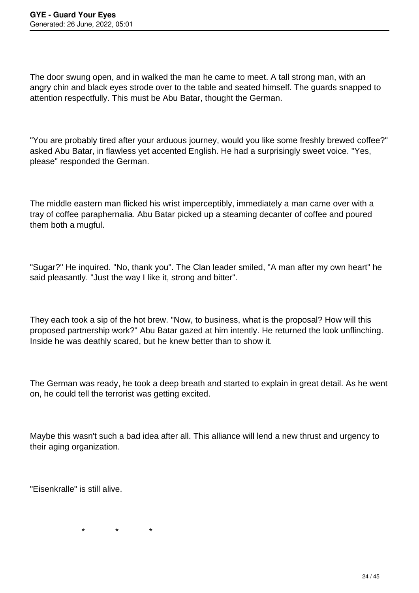The door swung open, and in walked the man he came to meet. A tall strong man, with an angry chin and black eyes strode over to the table and seated himself. The guards snapped to attention respectfully. This must be Abu Batar, thought the German.

"You are probably tired after your arduous journey, would you like some freshly brewed coffee?" asked Abu Batar, in flawless yet accented English. He had a surprisingly sweet voice. "Yes, please" responded the German.

The middle eastern man flicked his wrist imperceptibly, immediately a man came over with a tray of coffee paraphernalia. Abu Batar picked up a steaming decanter of coffee and poured them both a mugful.

"Sugar?" He inquired. "No, thank you". The Clan leader smiled, "A man after my own heart" he said pleasantly. "Just the way I like it, strong and bitter".

They each took a sip of the hot brew. "Now, to business, what is the proposal? How will this proposed partnership work?" Abu Batar gazed at him intently. He returned the look unflinching. Inside he was deathly scared, but he knew better than to show it.

The German was ready, he took a deep breath and started to explain in great detail. As he went on, he could tell the terrorist was getting excited.

Maybe this wasn't such a bad idea after all. This alliance will lend a new thrust and urgency to their aging organization.

"Eisenkralle" is still alive.

 $\star$   $\star$   $\star$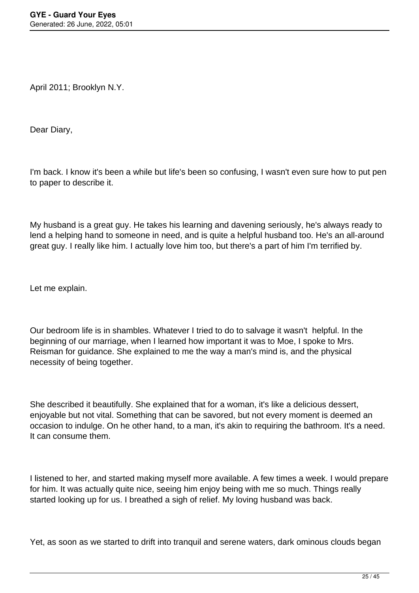April 2011; Brooklyn N.Y.

Dear Diary,

I'm back. I know it's been a while but life's been so confusing, I wasn't even sure how to put pen to paper to describe it.

My husband is a great guy. He takes his learning and davening seriously, he's always ready to lend a helping hand to someone in need, and is quite a helpful husband too. He's an all-around great guy. I really like him. I actually love him too, but there's a part of him I'm terrified by.

Let me explain.

Our bedroom life is in shambles. Whatever I tried to do to salvage it wasn't helpful. In the beginning of our marriage, when I learned how important it was to Moe, I spoke to Mrs. Reisman for guidance. She explained to me the way a man's mind is, and the physical necessity of being together.

She described it beautifully. She explained that for a woman, it's like a delicious dessert, enjoyable but not vital. Something that can be savored, but not every moment is deemed an occasion to indulge. On he other hand, to a man, it's akin to requiring the bathroom. It's a need. It can consume them.

I listened to her, and started making myself more available. A few times a week. I would prepare for him. It was actually quite nice, seeing him enjoy being with me so much. Things really started looking up for us. I breathed a sigh of relief. My loving husband was back.

Yet, as soon as we started to drift into tranquil and serene waters, dark ominous clouds began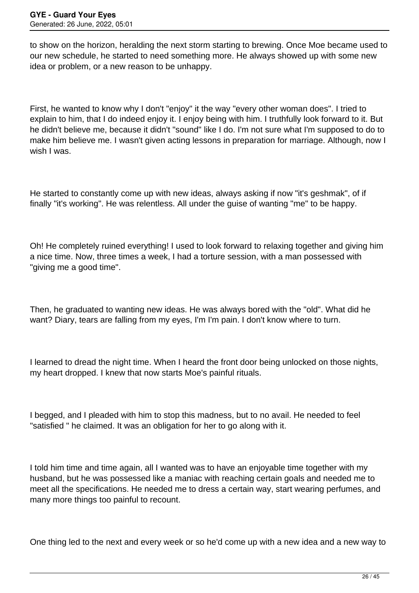to show on the horizon, heralding the next storm starting to brewing. Once Moe became used to our new schedule, he started to need something more. He always showed up with some new idea or problem, or a new reason to be unhappy.

First, he wanted to know why I don't "enjoy" it the way "every other woman does". I tried to explain to him, that I do indeed enjoy it. I enjoy being with him. I truthfully look forward to it. But he didn't believe me, because it didn't "sound" like I do. I'm not sure what I'm supposed to do to make him believe me. I wasn't given acting lessons in preparation for marriage. Although, now I wish I was.

He started to constantly come up with new ideas, always asking if now "it's geshmak", of if finally "it's working". He was relentless. All under the guise of wanting "me" to be happy.

Oh! He completely ruined everything! I used to look forward to relaxing together and giving him a nice time. Now, three times a week, I had a torture session, with a man possessed with "giving me a good time".

Then, he graduated to wanting new ideas. He was always bored with the "old". What did he want? Diary, tears are falling from my eyes, I'm I'm pain. I don't know where to turn.

I learned to dread the night time. When I heard the front door being unlocked on those nights, my heart dropped. I knew that now starts Moe's painful rituals.

I begged, and I pleaded with him to stop this madness, but to no avail. He needed to feel "satisfied " he claimed. It was an obligation for her to go along with it.

I told him time and time again, all I wanted was to have an enjoyable time together with my husband, but he was possessed like a maniac with reaching certain goals and needed me to meet all the specifications. He needed me to dress a certain way, start wearing perfumes, and many more things too painful to recount.

One thing led to the next and every week or so he'd come up with a new idea and a new way to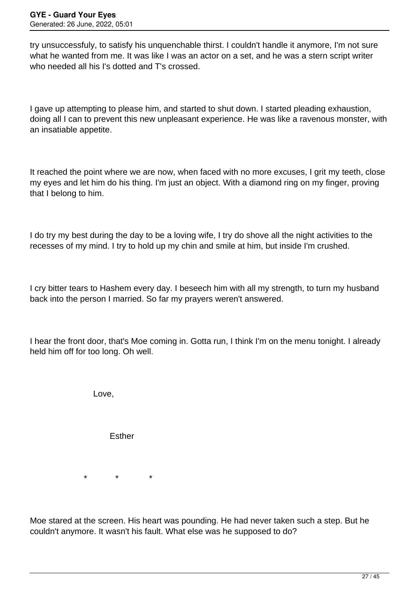try unsuccessfuly, to satisfy his unquenchable thirst. I couldn't handle it anymore, I'm not sure what he wanted from me. It was like I was an actor on a set, and he was a stern script writer who needed all his I's dotted and T's crossed.

I gave up attempting to please him, and started to shut down. I started pleading exhaustion, doing all I can to prevent this new unpleasant experience. He was like a ravenous monster, with an insatiable appetite.

It reached the point where we are now, when faced with no more excuses, I grit my teeth, close my eyes and let him do his thing. I'm just an object. With a diamond ring on my finger, proving that I belong to him.

I do try my best during the day to be a loving wife, I try do shove all the night activities to the recesses of my mind. I try to hold up my chin and smile at him, but inside I'm crushed.

I cry bitter tears to Hashem every day. I beseech him with all my strength, to turn my husband back into the person I married. So far my prayers weren't answered.

I hear the front door, that's Moe coming in. Gotta run, I think I'm on the menu tonight. I already held him off for too long. Oh well.

Love,

**Esther** 

\* \* \*

Moe stared at the screen. His heart was pounding. He had never taken such a step. But he couldn't anymore. It wasn't his fault. What else was he supposed to do?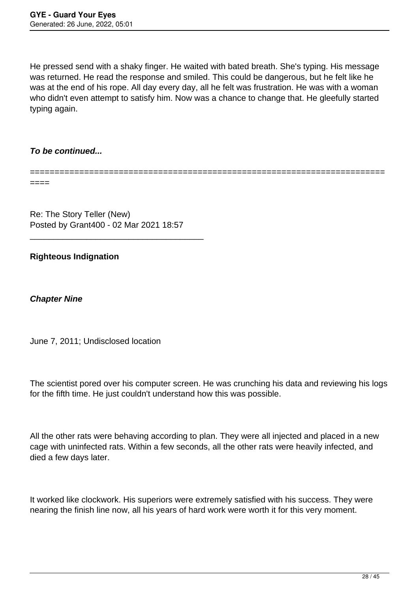He pressed send with a shaky finger. He waited with bated breath. She's typing. His message was returned. He read the response and smiled. This could be dangerous, but he felt like he was at the end of his rope. All day every day, all he felt was frustration. He was with a woman who didn't even attempt to satisfy him. Now was a chance to change that. He gleefully started typing again.

# **To be continued...**

========================================================================

====

Re: The Story Teller (New) Posted by Grant400 - 02 Mar 2021 18:57

\_\_\_\_\_\_\_\_\_\_\_\_\_\_\_\_\_\_\_\_\_\_\_\_\_\_\_\_\_\_\_\_\_\_\_\_\_

# **Righteous Indignation**

**Chapter Nine**

June 7, 2011; Undisclosed location

The scientist pored over his computer screen. He was crunching his data and reviewing his logs for the fifth time. He just couldn't understand how this was possible.

All the other rats were behaving according to plan. They were all injected and placed in a new cage with uninfected rats. Within a few seconds, all the other rats were heavily infected, and died a few days later.

It worked like clockwork. His superiors were extremely satisfied with his success. They were nearing the finish line now, all his years of hard work were worth it for this very moment.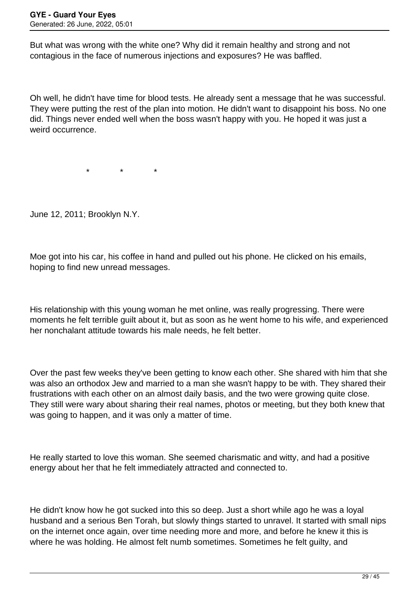But what was wrong with the white one? Why did it remain healthy and strong and not contagious in the face of numerous injections and exposures? He was baffled.

Oh well, he didn't have time for blood tests. He already sent a message that he was successful. They were putting the rest of the plan into motion. He didn't want to disappoint his boss. No one did. Things never ended well when the boss wasn't happy with you. He hoped it was just a weird occurrence.

\* \* \*

June 12, 2011; Brooklyn N.Y.

Moe got into his car, his coffee in hand and pulled out his phone. He clicked on his emails, hoping to find new unread messages.

His relationship with this young woman he met online, was really progressing. There were moments he felt terrible guilt about it, but as soon as he went home to his wife, and experienced her nonchalant attitude towards his male needs, he felt better.

Over the past few weeks they've been getting to know each other. She shared with him that she was also an orthodox Jew and married to a man she wasn't happy to be with. They shared their frustrations with each other on an almost daily basis, and the two were growing quite close. They still were wary about sharing their real names, photos or meeting, but they both knew that was going to happen, and it was only a matter of time.

He really started to love this woman. She seemed charismatic and witty, and had a positive energy about her that he felt immediately attracted and connected to.

He didn't know how he got sucked into this so deep. Just a short while ago he was a loyal husband and a serious Ben Torah, but slowly things started to unravel. It started with small nips on the internet once again, over time needing more and more, and before he knew it this is where he was holding. He almost felt numb sometimes. Sometimes he felt guilty, and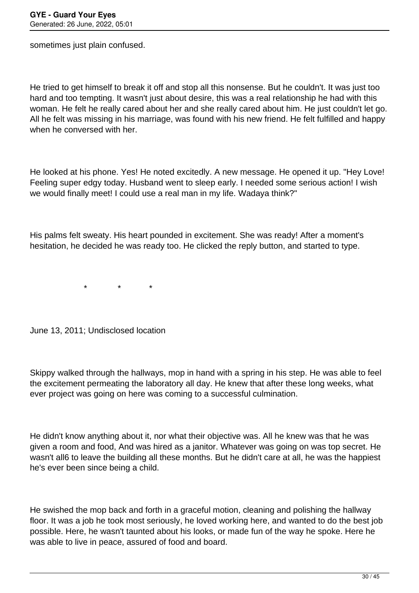sometimes just plain confused.

He tried to get himself to break it off and stop all this nonsense. But he couldn't. It was just too hard and too tempting. It wasn't just about desire, this was a real relationship he had with this woman. He felt he really cared about her and she really cared about him. He just couldn't let go. All he felt was missing in his marriage, was found with his new friend. He felt fulfilled and happy when he conversed with her.

He looked at his phone. Yes! He noted excitedly. A new message. He opened it up. "Hey Love! Feeling super edgy today. Husband went to sleep early. I needed some serious action! I wish we would finally meet! I could use a real man in my life. Wadaya think?"

His palms felt sweaty. His heart pounded in excitement. She was ready! After a moment's hesitation, he decided he was ready too. He clicked the reply button, and started to type.

\* \* \*

June 13, 2011; Undisclosed location

Skippy walked through the hallways, mop in hand with a spring in his step. He was able to feel the excitement permeating the laboratory all day. He knew that after these long weeks, what ever project was going on here was coming to a successful culmination.

He didn't know anything about it, nor what their objective was. All he knew was that he was given a room and food, And was hired as a janitor. Whatever was going on was top secret. He wasn't all6 to leave the building all these months. But he didn't care at all, he was the happiest he's ever been since being a child.

He swished the mop back and forth in a graceful motion, cleaning and polishing the hallway floor. It was a job he took most seriously, he loved working here, and wanted to do the best job possible. Here, he wasn't taunted about his looks, or made fun of the way he spoke. Here he was able to live in peace, assured of food and board.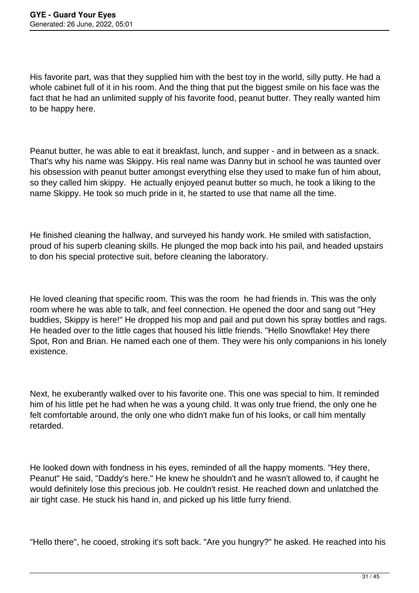His favorite part, was that they supplied him with the best toy in the world, silly putty. He had a whole cabinet full of it in his room. And the thing that put the biggest smile on his face was the fact that he had an unlimited supply of his favorite food, peanut butter. They really wanted him to be happy here.

Peanut butter, he was able to eat it breakfast, lunch, and supper - and in between as a snack. That's why his name was Skippy. His real name was Danny but in school he was taunted over his obsession with peanut butter amongst everything else they used to make fun of him about, so they called him skippy. He actually enjoyed peanut butter so much, he took a liking to the name Skippy. He took so much pride in it, he started to use that name all the time.

He finished cleaning the hallway, and surveyed his handy work. He smiled with satisfaction, proud of his superb cleaning skills. He plunged the mop back into his pail, and headed upstairs to don his special protective suit, before cleaning the laboratory.

He loved cleaning that specific room. This was the room he had friends in. This was the only room where he was able to talk, and feel connection. He opened the door and sang out "Hey buddies, Skippy is here!" He dropped his mop and pail and put down his spray bottles and rags. He headed over to the little cages that housed his little friends. "Hello Snowflake! Hey there Spot, Ron and Brian. He named each one of them. They were his only companions in his lonely existence.

Next, he exuberantly walked over to his favorite one. This one was special to him. It reminded him of his little pet he had when he was a young child. It was only true friend, the only one he felt comfortable around, the only one who didn't make fun of his looks, or call him mentally retarded.

He looked down with fondness in his eyes, reminded of all the happy moments. "Hey there, Peanut" He said, "Daddy's here." He knew he shouldn't and he wasn't allowed to, if caught he would definitely lose this precious job. He couldn't resist. He reached down and unlatched the air tight case. He stuck his hand in, and picked up his little furry friend.

"Hello there", he cooed, stroking it's soft back. "Are you hungry?" he asked. He reached into his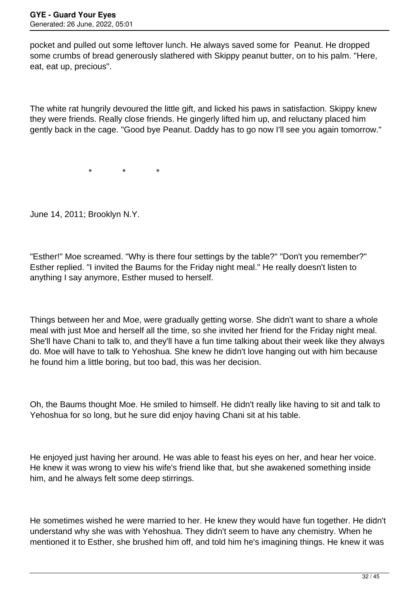pocket and pulled out some leftover lunch. He always saved some for Peanut. He dropped some crumbs of bread generously slathered with Skippy peanut butter, on to his palm. "Here, eat, eat up, precious".

The white rat hungrily devoured the little gift, and licked his paws in satisfaction. Skippy knew they were friends. Really close friends. He gingerly lifted him up, and reluctany placed him gently back in the cage. "Good bye Peanut. Daddy has to go now I'll see you again tomorrow."

 $\star$   $\star$   $\star$ 

June 14, 2011; Brooklyn N.Y.

"Esther!" Moe screamed. "Why is there four settings by the table?" "Don't you remember?" Esther replied. "I invited the Baums for the Friday night meal." He really doesn't listen to anything I say anymore, Esther mused to herself.

Things between her and Moe, were gradually getting worse. She didn't want to share a whole meal with just Moe and herself all the time, so she invited her friend for the Friday night meal. She'll have Chani to talk to, and they'll have a fun time talking about their week like they always do. Moe will have to talk to Yehoshua. She knew he didn't love hanging out with him because he found him a little boring, but too bad, this was her decision.

Oh, the Baums thought Moe. He smiled to himself. He didn't really like having to sit and talk to Yehoshua for so long, but he sure did enjoy having Chani sit at his table.

He enjoyed just having her around. He was able to feast his eyes on her, and hear her voice. He knew it was wrong to view his wife's friend like that, but she awakened something inside him, and he always felt some deep stirrings.

He sometimes wished he were married to her. He knew they would have fun together. He didn't understand why she was with Yehoshua. They didn't seem to have any chemistry. When he mentioned it to Esther, she brushed him off, and told him he's imagining things. He knew it was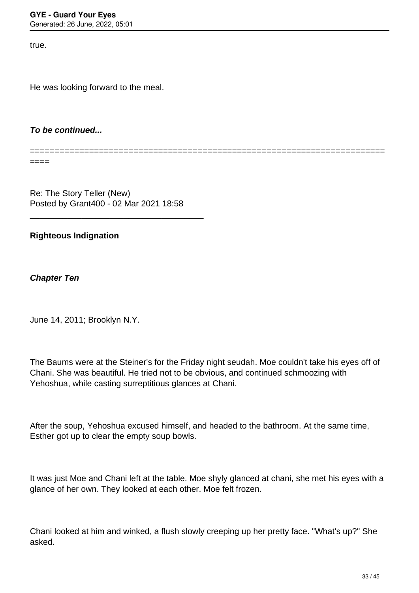true.

He was looking forward to the meal.

#### **To be continued...**

========================================================================

 $====$ 

Re: The Story Teller (New) Posted by Grant400 - 02 Mar 2021 18:58

\_\_\_\_\_\_\_\_\_\_\_\_\_\_\_\_\_\_\_\_\_\_\_\_\_\_\_\_\_\_\_\_\_\_\_\_\_

#### **Righteous Indignation**

**Chapter Ten**

June 14, 2011; Brooklyn N.Y.

The Baums were at the Steiner's for the Friday night seudah. Moe couldn't take his eyes off of Chani. She was beautiful. He tried not to be obvious, and continued schmoozing with Yehoshua, while casting surreptitious glances at Chani.

After the soup, Yehoshua excused himself, and headed to the bathroom. At the same time, Esther got up to clear the empty soup bowls.

It was just Moe and Chani left at the table. Moe shyly glanced at chani, she met his eyes with a glance of her own. They looked at each other. Moe felt frozen.

Chani looked at him and winked, a flush slowly creeping up her pretty face. "What's up?" She asked.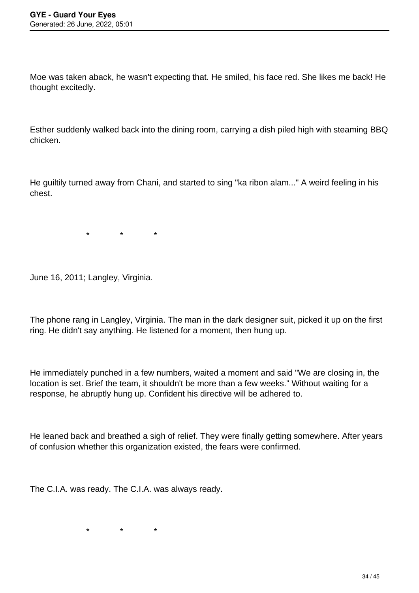Moe was taken aback, he wasn't expecting that. He smiled, his face red. She likes me back! He thought excitedly.

Esther suddenly walked back into the dining room, carrying a dish piled high with steaming BBQ chicken.

He guiltily turned away from Chani, and started to sing "ka ribon alam..." A weird feeling in his chest.

\* \* \*

June 16, 2011; Langley, Virginia.

The phone rang in Langley, Virginia. The man in the dark designer suit, picked it up on the first ring. He didn't say anything. He listened for a moment, then hung up.

He immediately punched in a few numbers, waited a moment and said "We are closing in, the location is set. Brief the team, it shouldn't be more than a few weeks." Without waiting for a response, he abruptly hung up. Confident his directive will be adhered to.

He leaned back and breathed a sigh of relief. They were finally getting somewhere. After years of confusion whether this organization existed, the fears were confirmed.

The C.I.A. was ready. The C.I.A. was always ready.

\* \* \*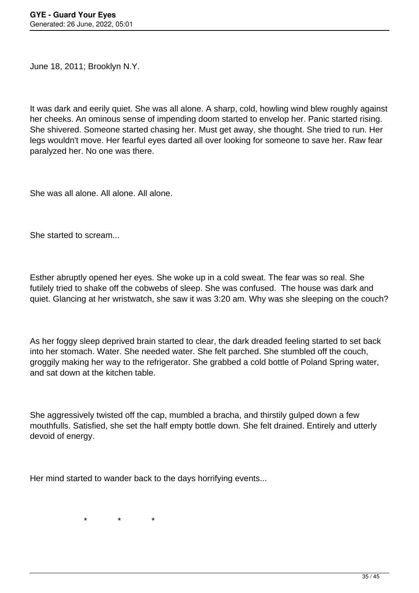June 18, 2011; Brooklyn N.Y.

It was dark and eerily quiet. She was all alone. A sharp, cold, howling wind blew roughly against her cheeks. An ominous sense of impending doom started to envelop her. Panic started rising. She shivered. Someone started chasing her. Must get away, she thought. She tried to run. Her legs wouldn't move. Her fearful eyes darted all over looking for someone to save her. Raw fear paralyzed her. No one was there.

She was all alone. All alone. All alone.

She started to scream...

Esther abruptly opened her eyes. She woke up in a cold sweat. The fear was so real. She futilely tried to shake off the cobwebs of sleep. She was confused. The house was dark and quiet. Glancing at her wristwatch, she saw it was 3:20 am. Why was she sleeping on the couch?

As her foggy sleep deprived brain started to clear, the dark dreaded feeling started to set back into her stomach. Water. She needed water. She felt parched. She stumbled off the couch, groggily making her way to the refrigerator. She grabbed a cold bottle of Poland Spring water, and sat down at the kitchen table.

She aggressively twisted off the cap, mumbled a bracha, and thirstily gulped down a few mouthfulls. Satisfied, she set the half empty bottle down. She felt drained. Entirely and utterly devoid of energy.

Her mind started to wander back to the days horrifying events...

 $\star$   $\star$   $\star$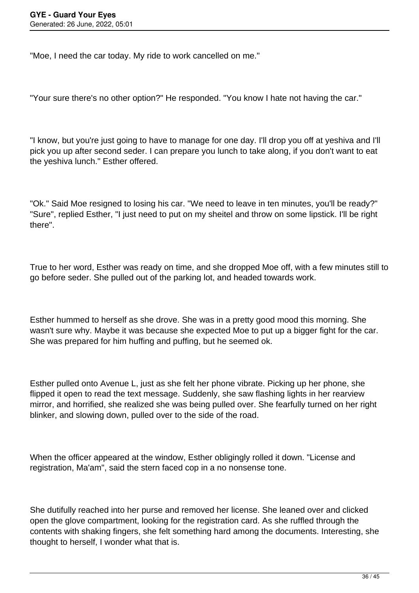"Moe, I need the car today. My ride to work cancelled on me."

"Your sure there's no other option?" He responded. "You know I hate not having the car."

"I know, but you're just going to have to manage for one day. I'll drop you off at yeshiva and I'll pick you up after second seder. I can prepare you lunch to take along, if you don't want to eat the yeshiva lunch." Esther offered.

"Ok." Said Moe resigned to losing his car. "We need to leave in ten minutes, you'll be ready?" "Sure", replied Esther, "I just need to put on my sheitel and throw on some lipstick. I'll be right there".

True to her word, Esther was ready on time, and she dropped Moe off, with a few minutes still to go before seder. She pulled out of the parking lot, and headed towards work.

Esther hummed to herself as she drove. She was in a pretty good mood this morning. She wasn't sure why. Maybe it was because she expected Moe to put up a bigger fight for the car. She was prepared for him huffing and puffing, but he seemed ok.

Esther pulled onto Avenue L, just as she felt her phone vibrate. Picking up her phone, she flipped it open to read the text message. Suddenly, she saw flashing lights in her rearview mirror, and horrified, she realized she was being pulled over. She fearfully turned on her right blinker, and slowing down, pulled over to the side of the road.

When the officer appeared at the window, Esther obligingly rolled it down. "License and registration, Ma'am", said the stern faced cop in a no nonsense tone.

She dutifully reached into her purse and removed her license. She leaned over and clicked open the glove compartment, looking for the registration card. As she ruffled through the contents with shaking fingers, she felt something hard among the documents. Interesting, she thought to herself, I wonder what that is.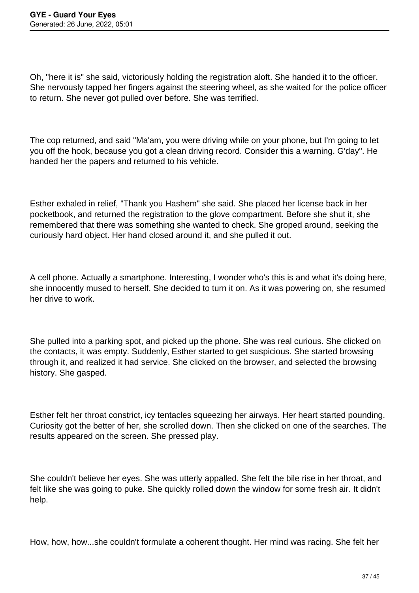Oh, "here it is" she said, victoriously holding the registration aloft. She handed it to the officer. She nervously tapped her fingers against the steering wheel, as she waited for the police officer to return. She never got pulled over before. She was terrified.

The cop returned, and said "Ma'am, you were driving while on your phone, but I'm going to let you off the hook, because you got a clean driving record. Consider this a warning. G'day". He handed her the papers and returned to his vehicle.

Esther exhaled in relief, "Thank you Hashem" she said. She placed her license back in her pocketbook, and returned the registration to the glove compartment. Before she shut it, she remembered that there was something she wanted to check. She groped around, seeking the curiously hard object. Her hand closed around it, and she pulled it out.

A cell phone. Actually a smartphone. Interesting, I wonder who's this is and what it's doing here, she innocently mused to herself. She decided to turn it on. As it was powering on, she resumed her drive to work.

She pulled into a parking spot, and picked up the phone. She was real curious. She clicked on the contacts, it was empty. Suddenly, Esther started to get suspicious. She started browsing through it, and realized it had service. She clicked on the browser, and selected the browsing history. She gasped.

Esther felt her throat constrict, icy tentacles squeezing her airways. Her heart started pounding. Curiosity got the better of her, she scrolled down. Then she clicked on one of the searches. The results appeared on the screen. She pressed play.

She couldn't believe her eyes. She was utterly appalled. She felt the bile rise in her throat, and felt like she was going to puke. She quickly rolled down the window for some fresh air. It didn't help.

How, how, how...she couldn't formulate a coherent thought. Her mind was racing. She felt her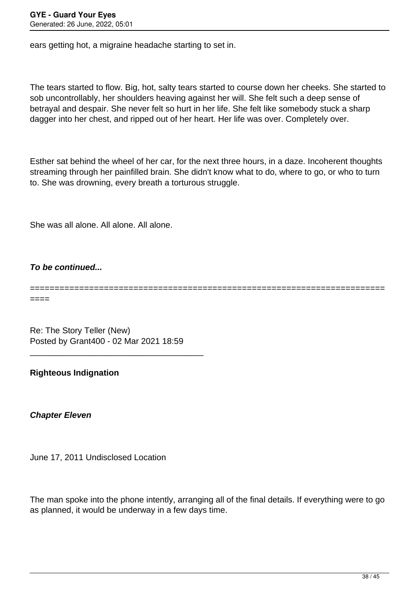ears getting hot, a migraine headache starting to set in.

The tears started to flow. Big, hot, salty tears started to course down her cheeks. She started to sob uncontrollably, her shoulders heaving against her will. She felt such a deep sense of betrayal and despair. She never felt so hurt in her life. She felt like somebody stuck a sharp dagger into her chest, and ripped out of her heart. Her life was over. Completely over.

Esther sat behind the wheel of her car, for the next three hours, in a daze. Incoherent thoughts streaming through her painfilled brain. She didn't know what to do, where to go, or who to turn to. She was drowning, every breath a torturous struggle.

She was all alone. All alone. All alone.

**To be continued...**

====

========================================================================

Re: The Story Teller (New) Posted by Grant400 - 02 Mar 2021 18:59

\_\_\_\_\_\_\_\_\_\_\_\_\_\_\_\_\_\_\_\_\_\_\_\_\_\_\_\_\_\_\_\_\_\_\_\_\_

**Righteous Indignation** 

**Chapter Eleven**

June 17, 2011 Undisclosed Location

The man spoke into the phone intently, arranging all of the final details. If everything were to go as planned, it would be underway in a few days time.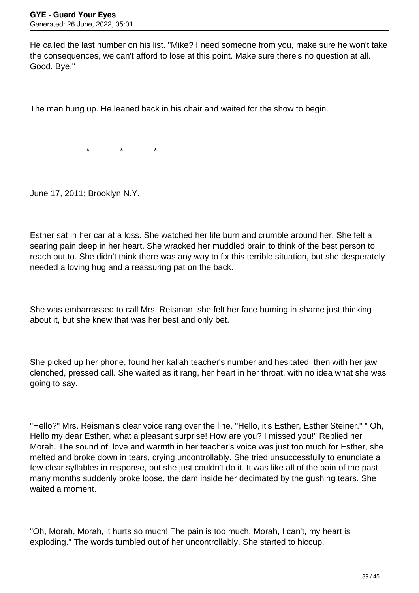He called the last number on his list. "Mike? I need someone from you, make sure he won't take the consequences, we can't afford to lose at this point. Make sure there's no question at all. Good. Bye."

The man hung up. He leaned back in his chair and waited for the show to begin.

\* \* \*

June 17, 2011; Brooklyn N.Y.

Esther sat in her car at a loss. She watched her life burn and crumble around her. She felt a searing pain deep in her heart. She wracked her muddled brain to think of the best person to reach out to. She didn't think there was any way to fix this terrible situation, but she desperately needed a loving hug and a reassuring pat on the back.

She was embarrassed to call Mrs. Reisman, she felt her face burning in shame just thinking about it, but she knew that was her best and only bet.

She picked up her phone, found her kallah teacher's number and hesitated, then with her jaw clenched, pressed call. She waited as it rang, her heart in her throat, with no idea what she was going to say.

"Hello?" Mrs. Reisman's clear voice rang over the line. "Hello, it's Esther, Esther Steiner." " Oh, Hello my dear Esther, what a pleasant surprise! How are you? I missed you!" Replied her Morah. The sound of love and warmth in her teacher's voice was just too much for Esther, she melted and broke down in tears, crying uncontrollably. She tried unsuccessfully to enunciate a few clear syllables in response, but she just couldn't do it. It was like all of the pain of the past many months suddenly broke loose, the dam inside her decimated by the gushing tears. She waited a moment.

"Oh, Morah, Morah, it hurts so much! The pain is too much. Morah, I can't, my heart is exploding." The words tumbled out of her uncontrollably. She started to hiccup.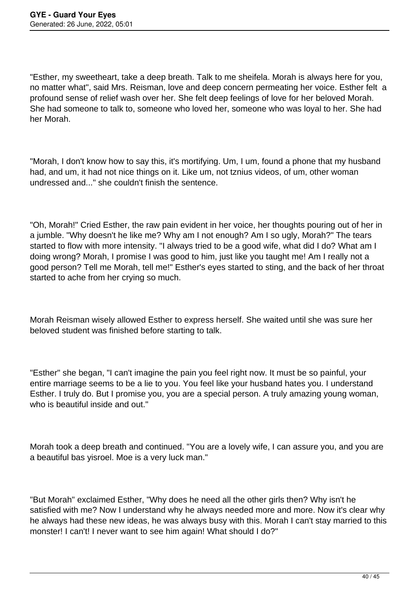"Esther, my sweetheart, take a deep breath. Talk to me sheifela. Morah is always here for you, no matter what", said Mrs. Reisman, love and deep concern permeating her voice. Esther felt a profound sense of relief wash over her. She felt deep feelings of love for her beloved Morah. She had someone to talk to, someone who loved her, someone who was loyal to her. She had her Morah.

"Morah, I don't know how to say this, it's mortifying. Um, I um, found a phone that my husband had, and um, it had not nice things on it. Like um, not tznius videos, of um, other woman undressed and..." she couldn't finish the sentence.

"Oh, Morah!" Cried Esther, the raw pain evident in her voice, her thoughts pouring out of her in a jumble. "Why doesn't he like me? Why am I not enough? Am I so ugly, Morah?" The tears started to flow with more intensity. "I always tried to be a good wife, what did I do? What am I doing wrong? Morah, I promise I was good to him, just like you taught me! Am I really not a good person? Tell me Morah, tell me!" Esther's eyes started to sting, and the back of her throat started to ache from her crying so much.

Morah Reisman wisely allowed Esther to express herself. She waited until she was sure her beloved student was finished before starting to talk.

"Esther" she began, "I can't imagine the pain you feel right now. It must be so painful, your entire marriage seems to be a lie to you. You feel like your husband hates you. I understand Esther. I truly do. But I promise you, you are a special person. A truly amazing young woman, who is beautiful inside and out."

Morah took a deep breath and continued. "You are a lovely wife, I can assure you, and you are a beautiful bas yisroel. Moe is a very luck man."

"But Morah" exclaimed Esther, "Why does he need all the other girls then? Why isn't he satisfied with me? Now I understand why he always needed more and more. Now it's clear why he always had these new ideas, he was always busy with this. Morah I can't stay married to this monster! I can't! I never want to see him again! What should I do?"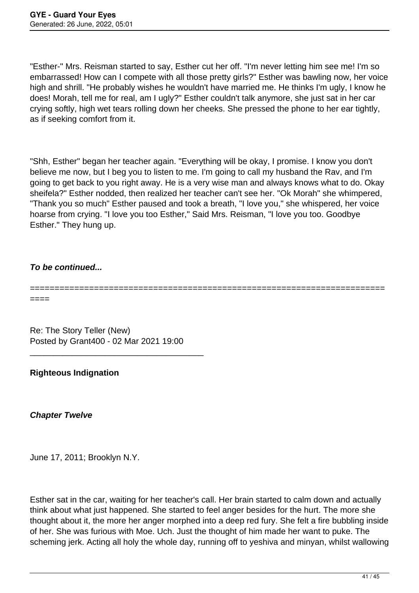"Esther-" Mrs. Reisman started to say, Esther cut her off. "I'm never letting him see me! I'm so embarrassed! How can I compete with all those pretty girls?" Esther was bawling now, her voice high and shrill. "He probably wishes he wouldn't have married me. He thinks I'm ugly, I know he does! Morah, tell me for real, am I ugly?" Esther couldn't talk anymore, she just sat in her car crying softly, high wet tears rolling down her cheeks. She pressed the phone to her ear tightly, as if seeking comfort from it.

"Shh, Esther" began her teacher again. "Everything will be okay, I promise. I know you don't believe me now, but I beg you to listen to me. I'm going to call my husband the Rav, and I'm going to get back to you right away. He is a very wise man and always knows what to do. Okay sheifela?" Esther nodded, then realized her teacher can't see her. "Ok Morah" she whimpered, "Thank you so much" Esther paused and took a breath, "I love you," she whispered, her voice hoarse from crying. "I love you too Esther," Said Mrs. Reisman, "I love you too. Goodbye Esther." They hung up.

# **To be continued...**

## ======================================================================== ====

Re: The Story Teller (New) Posted by Grant400 - 02 Mar 2021 19:00

\_\_\_\_\_\_\_\_\_\_\_\_\_\_\_\_\_\_\_\_\_\_\_\_\_\_\_\_\_\_\_\_\_\_\_\_\_

**Righteous Indignation** 

**Chapter Twelve**

June 17, 2011; Brooklyn N.Y.

Esther sat in the car, waiting for her teacher's call. Her brain started to calm down and actually think about what just happened. She started to feel anger besides for the hurt. The more she thought about it, the more her anger morphed into a deep red fury. She felt a fire bubbling inside of her. She was furious with Moe. Uch. Just the thought of him made her want to puke. The scheming jerk. Acting all holy the whole day, running off to yeshiva and minyan, whilst wallowing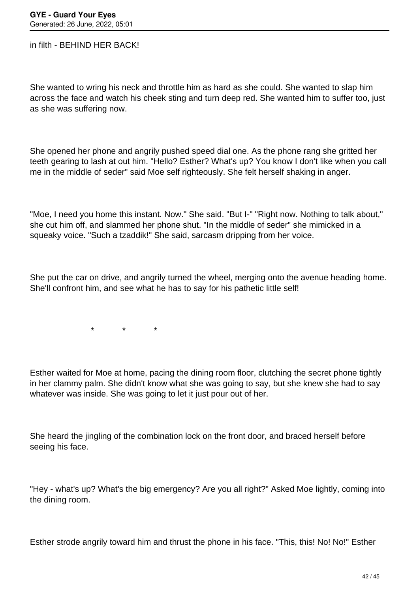in filth - BEHIND HER BACK!

She wanted to wring his neck and throttle him as hard as she could. She wanted to slap him across the face and watch his cheek sting and turn deep red. She wanted him to suffer too, just as she was suffering now.

She opened her phone and angrily pushed speed dial one. As the phone rang she gritted her teeth gearing to lash at out him. "Hello? Esther? What's up? You know I don't like when you call me in the middle of seder" said Moe self righteously. She felt herself shaking in anger.

"Moe, I need you home this instant. Now." She said. "But I-" "Right now. Nothing to talk about," she cut him off, and slammed her phone shut. "In the middle of seder" she mimicked in a squeaky voice. "Such a tzaddik!" She said, sarcasm dripping from her voice.

She put the car on drive, and angrily turned the wheel, merging onto the avenue heading home. She'll confront him, and see what he has to say for his pathetic little self!

\* \* \*

Esther waited for Moe at home, pacing the dining room floor, clutching the secret phone tightly in her clammy palm. She didn't know what she was going to say, but she knew she had to say whatever was inside. She was going to let it just pour out of her.

She heard the jingling of the combination lock on the front door, and braced herself before seeing his face.

"Hey - what's up? What's the big emergency? Are you all right?" Asked Moe lightly, coming into the dining room.

Esther strode angrily toward him and thrust the phone in his face. "This, this! No! No!" Esther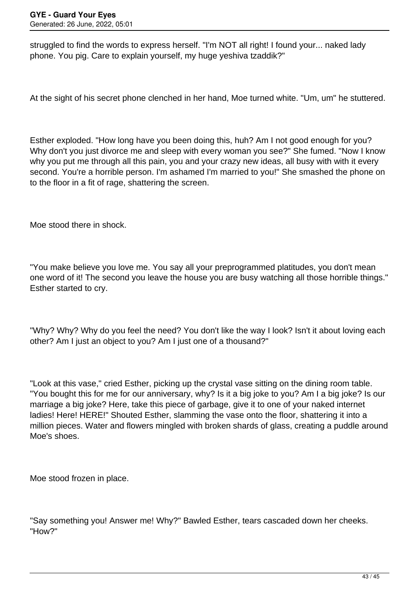struggled to find the words to express herself. "I'm NOT all right! I found your... naked lady phone. You pig. Care to explain yourself, my huge yeshiva tzaddik?"

At the sight of his secret phone clenched in her hand, Moe turned white. "Um, um" he stuttered.

Esther exploded. "How long have you been doing this, huh? Am I not good enough for you? Why don't you just divorce me and sleep with every woman you see?" She fumed. "Now I know why you put me through all this pain, you and your crazy new ideas, all busy with with it every second. You're a horrible person. I'm ashamed I'm married to you!" She smashed the phone on to the floor in a fit of rage, shattering the screen.

Moe stood there in shock.

"You make believe you love me. You say all your preprogrammed platitudes, you don't mean one word of it! The second you leave the house you are busy watching all those horrible things." Esther started to cry.

"Why? Why? Why do you feel the need? You don't like the way I look? Isn't it about loving each other? Am I just an object to you? Am I just one of a thousand?"

"Look at this vase," cried Esther, picking up the crystal vase sitting on the dining room table. "You bought this for me for our anniversary, why? Is it a big joke to you? Am I a big joke? Is our marriage a big joke? Here, take this piece of garbage, give it to one of your naked internet ladies! Here! HERE!" Shouted Esther, slamming the vase onto the floor, shattering it into a million pieces. Water and flowers mingled with broken shards of glass, creating a puddle around Moe's shoes.

Moe stood frozen in place.

"Say something you! Answer me! Why?" Bawled Esther, tears cascaded down her cheeks. "How?"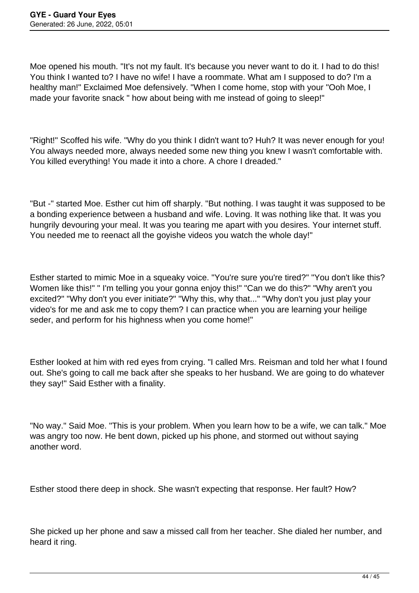Moe opened his mouth. "It's not my fault. It's because you never want to do it. I had to do this! You think I wanted to? I have no wife! I have a roommate. What am I supposed to do? I'm a healthy man!" Exclaimed Moe defensively. "When I come home, stop with your "Ooh Moe, I made your favorite snack " how about being with me instead of going to sleep!"

"Right!" Scoffed his wife. "Why do you think I didn't want to? Huh? It was never enough for you! You always needed more, always needed some new thing you knew I wasn't comfortable with. You killed everything! You made it into a chore. A chore I dreaded."

"But -" started Moe. Esther cut him off sharply. "But nothing. I was taught it was supposed to be a bonding experience between a husband and wife. Loving. It was nothing like that. It was you hungrily devouring your meal. It was you tearing me apart with you desires. Your internet stuff. You needed me to reenact all the goyishe videos you watch the whole day!"

Esther started to mimic Moe in a squeaky voice. "You're sure you're tired?" "You don't like this? Women like this!" " I'm telling you your gonna enjoy this!" "Can we do this?" "Why aren't you excited?" "Why don't you ever initiate?" "Why this, why that..." "Why don't you just play your video's for me and ask me to copy them? I can practice when you are learning your heilige seder, and perform for his highness when you come home!"

Esther looked at him with red eyes from crying. "I called Mrs. Reisman and told her what I found out. She's going to call me back after she speaks to her husband. We are going to do whatever they say!" Said Esther with a finality.

"No way." Said Moe. "This is your problem. When you learn how to be a wife, we can talk." Moe was angry too now. He bent down, picked up his phone, and stormed out without saying another word.

Esther stood there deep in shock. She wasn't expecting that response. Her fault? How?

She picked up her phone and saw a missed call from her teacher. She dialed her number, and heard it ring.